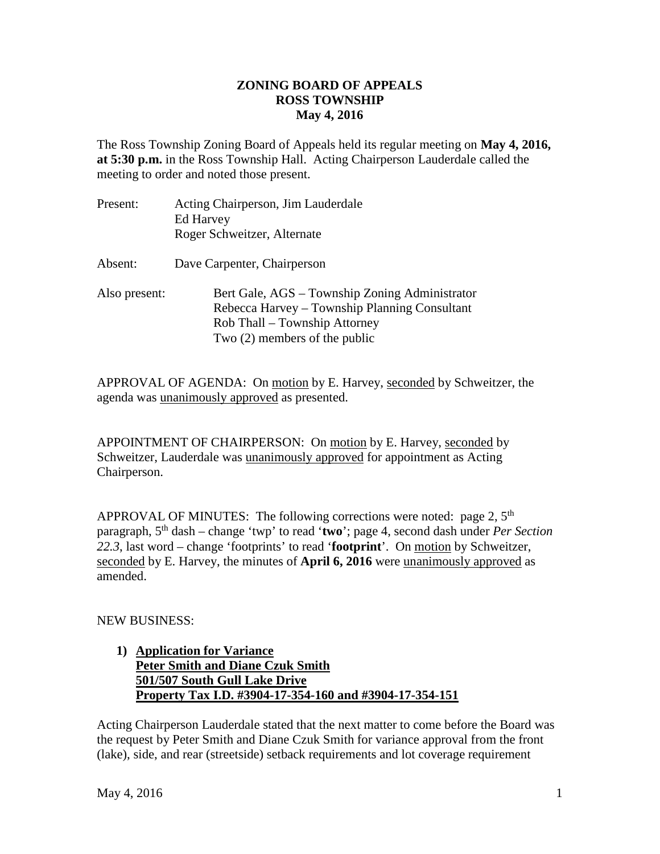## **ZONING BOARD OF APPEALS ROSS TOWNSHIP May 4, 2016**

The Ross Township Zoning Board of Appeals held its regular meeting on **May 4, 2016, at 5:30 p.m.** in the Ross Township Hall. Acting Chairperson Lauderdale called the meeting to order and noted those present.

| Present:      | Acting Chairperson, Jim Lauderdale<br><b>Ed Harvey</b><br>Roger Schweitzer, Alternate                                                                               |
|---------------|---------------------------------------------------------------------------------------------------------------------------------------------------------------------|
| Absent:       | Dave Carpenter, Chairperson                                                                                                                                         |
| Also present: | Bert Gale, AGS – Township Zoning Administrator<br>Rebecca Harvey – Township Planning Consultant<br>Rob Thall – Township Attorney<br>Two $(2)$ members of the public |

APPROVAL OF AGENDA: On motion by E. Harvey, seconded by Schweitzer, the agenda was unanimously approved as presented.

APPOINTMENT OF CHAIRPERSON: On motion by E. Harvey, seconded by Schweitzer, Lauderdale was unanimously approved for appointment as Acting Chairperson.

APPROVAL OF MINUTES: The following corrections were noted: page 2,  $5<sup>th</sup>$ paragraph, 5th dash – change 'twp' to read '**two**'; page 4, second dash under *Per Section 22.3*, last word – change 'footprints' to read '**footprint**'. On motion by Schweitzer, seconded by E. Harvey, the minutes of **April 6, 2016** were unanimously approved as amended.

## NEW BUSINESS:

## **1) Application for Variance Peter Smith and Diane Czuk Smith 501/507 South Gull Lake Drive Property Tax I.D. #3904-17-354-160 and #3904-17-354-151**

Acting Chairperson Lauderdale stated that the next matter to come before the Board was the request by Peter Smith and Diane Czuk Smith for variance approval from the front (lake), side, and rear (streetside) setback requirements and lot coverage requirement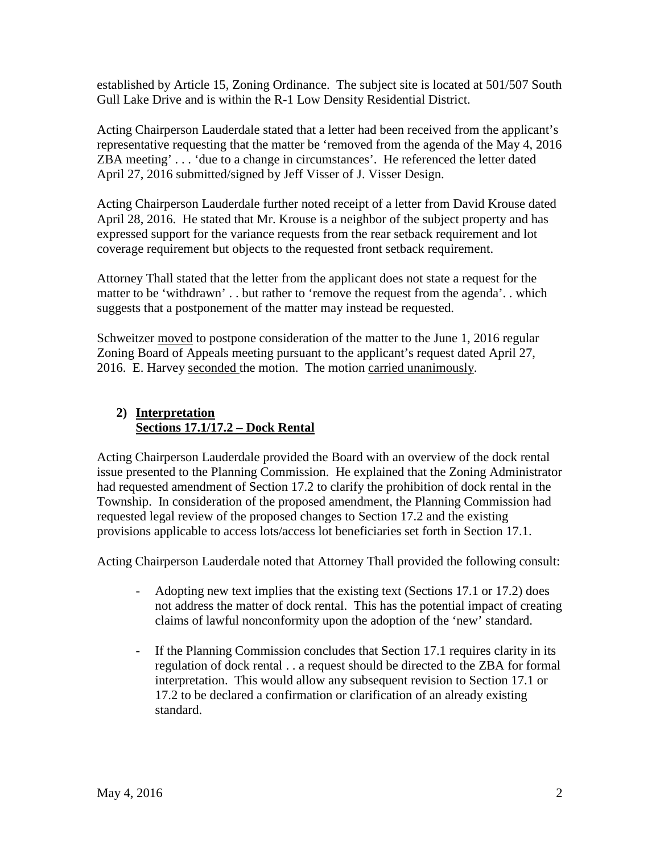established by Article 15, Zoning Ordinance. The subject site is located at 501/507 South Gull Lake Drive and is within the R-1 Low Density Residential District.

Acting Chairperson Lauderdale stated that a letter had been received from the applicant's representative requesting that the matter be 'removed from the agenda of the May 4, 2016 ZBA meeting' . . . 'due to a change in circumstances'. He referenced the letter dated April 27, 2016 submitted/signed by Jeff Visser of J. Visser Design.

Acting Chairperson Lauderdale further noted receipt of a letter from David Krouse dated April 28, 2016. He stated that Mr. Krouse is a neighbor of the subject property and has expressed support for the variance requests from the rear setback requirement and lot coverage requirement but objects to the requested front setback requirement.

Attorney Thall stated that the letter from the applicant does not state a request for the matter to be 'withdrawn' . . but rather to 'remove the request from the agenda'. . which suggests that a postponement of the matter may instead be requested.

Schweitzer moved to postpone consideration of the matter to the June 1, 2016 regular Zoning Board of Appeals meeting pursuant to the applicant's request dated April 27, 2016. E. Harvey seconded the motion. The motion carried unanimously.

## **2) Interpretation Sections 17.1/17.2 – Dock Rental**

Acting Chairperson Lauderdale provided the Board with an overview of the dock rental issue presented to the Planning Commission. He explained that the Zoning Administrator had requested amendment of Section 17.2 to clarify the prohibition of dock rental in the Township. In consideration of the proposed amendment, the Planning Commission had requested legal review of the proposed changes to Section 17.2 and the existing provisions applicable to access lots/access lot beneficiaries set forth in Section 17.1.

Acting Chairperson Lauderdale noted that Attorney Thall provided the following consult:

- Adopting new text implies that the existing text (Sections 17.1 or 17.2) does not address the matter of dock rental. This has the potential impact of creating claims of lawful nonconformity upon the adoption of the 'new' standard.
- If the Planning Commission concludes that Section 17.1 requires clarity in its regulation of dock rental . . a request should be directed to the ZBA for formal interpretation. This would allow any subsequent revision to Section 17.1 or 17.2 to be declared a confirmation or clarification of an already existing standard.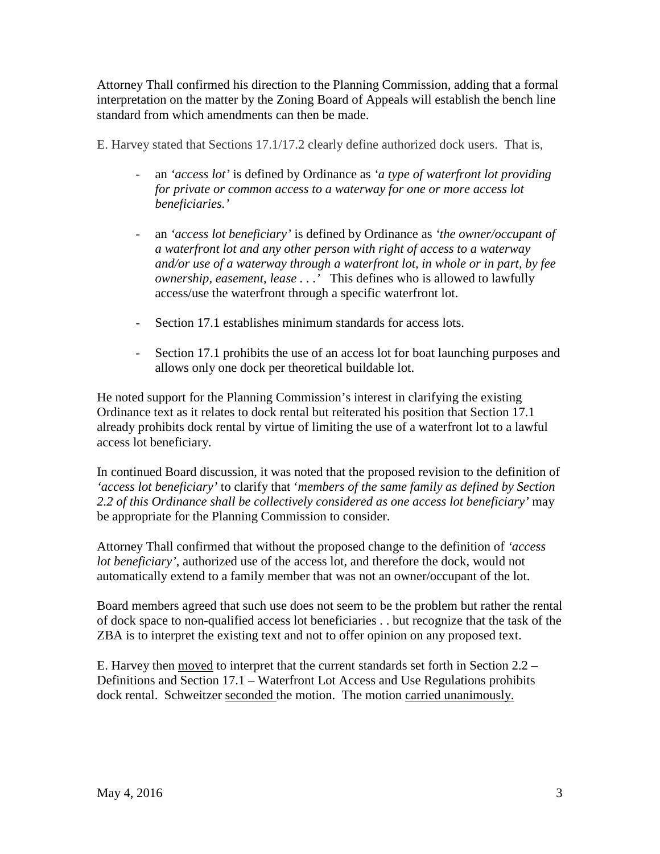Attorney Thall confirmed his direction to the Planning Commission, adding that a formal interpretation on the matter by the Zoning Board of Appeals will establish the bench line standard from which amendments can then be made.

E. Harvey stated that Sections 17.1/17.2 clearly define authorized dock users. That is,

- an *'access lot'* is defined by Ordinance as *'a type of waterfront lot providing for private or common access to a waterway for one or more access lot beneficiaries.'*
- an *'access lot beneficiary'* is defined by Ordinance as *'the owner/occupant of a waterfront lot and any other person with right of access to a waterway and/or use of a waterway through a waterfront lot, in whole or in part, by fee ownership, easement, lease . . .'* This defines who is allowed to lawfully access/use the waterfront through a specific waterfront lot.
- Section 17.1 establishes minimum standards for access lots.
- Section 17.1 prohibits the use of an access lot for boat launching purposes and allows only one dock per theoretical buildable lot.

He noted support for the Planning Commission's interest in clarifying the existing Ordinance text as it relates to dock rental but reiterated his position that Section 17.1 already prohibits dock rental by virtue of limiting the use of a waterfront lot to a lawful access lot beneficiary.

In continued Board discussion, it was noted that the proposed revision to the definition of *'access lot beneficiary'* to clarify that '*members of the same family as defined by Section 2.2 of this Ordinance shall be collectively considered as one access lot beneficiary'* may be appropriate for the Planning Commission to consider.

Attorney Thall confirmed that without the proposed change to the definition of *'access lot beneficiary'*, authorized use of the access lot, and therefore the dock, would not automatically extend to a family member that was not an owner/occupant of the lot.

Board members agreed that such use does not seem to be the problem but rather the rental of dock space to non-qualified access lot beneficiaries . . but recognize that the task of the ZBA is to interpret the existing text and not to offer opinion on any proposed text.

E. Harvey then moved to interpret that the current standards set forth in Section 2.2 – Definitions and Section 17.1 – Waterfront Lot Access and Use Regulations prohibits dock rental. Schweitzer seconded the motion. The motion carried unanimously.